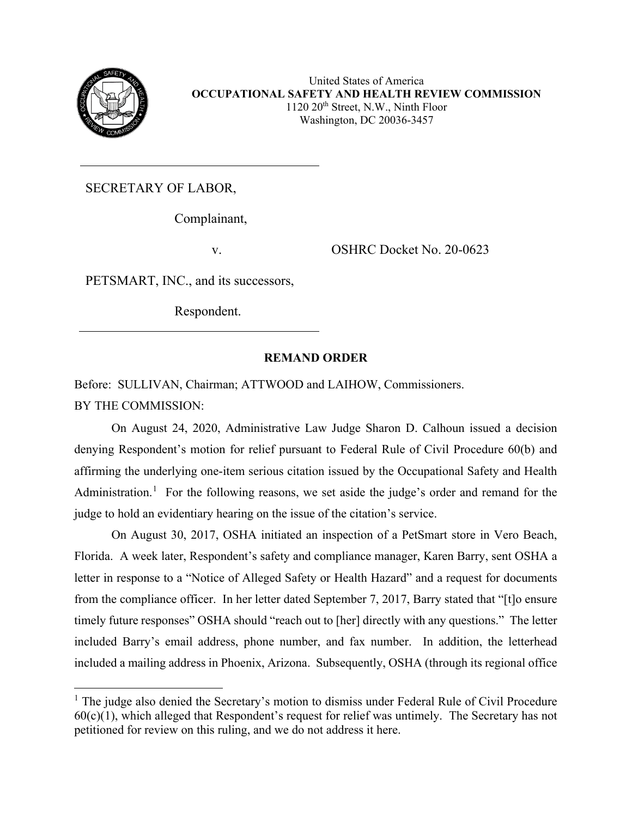

United States of America **OCCUPATIONAL SAFETY AND HEALTH REVIEW COMMISSION**  $1120 20<sup>th</sup>$  Street, N.W., Ninth Floor Washington, DC 20036-3457

SECRETARY OF LABOR,

Complainant,

v. OSHRC Docket No. 20-0623

PETSMART, INC., and its successors,

Respondent.

# **REMAND ORDER**

Before: SULLIVAN, Chairman; ATTWOOD and LAIHOW, Commissioners. BY THE COMMISSION:

On August 24, 2020, Administrative Law Judge Sharon D. Calhoun issued a decision denying Respondent's motion for relief pursuant to Federal Rule of Civil Procedure 60(b) and affirming the underlying one-item serious citation issued by the Occupational Safety and Health Administration.<sup>[1](#page-0-0)</sup> For the following reasons, we set aside the judge's order and remand for the judge to hold an evidentiary hearing on the issue of the citation's service.

On August 30, 2017, OSHA initiated an inspection of a PetSmart store in Vero Beach, Florida. A week later, Respondent's safety and compliance manager, Karen Barry, sent OSHA a letter in response to a "Notice of Alleged Safety or Health Hazard" and a request for documents from the compliance officer. In her letter dated September 7, 2017, Barry stated that "[t]o ensure timely future responses" OSHA should "reach out to [her] directly with any questions." The letter included Barry's email address, phone number, and fax number. In addition, the letterhead included a mailing address in Phoenix, Arizona. Subsequently, OSHA (through its regional office

<span id="page-0-0"></span><sup>&</sup>lt;sup>1</sup> The judge also denied the Secretary's motion to dismiss under Federal Rule of Civil Procedure  $60(c)(1)$ , which alleged that Respondent's request for relief was untimely. The Secretary has not petitioned for review on this ruling, and we do not address it here.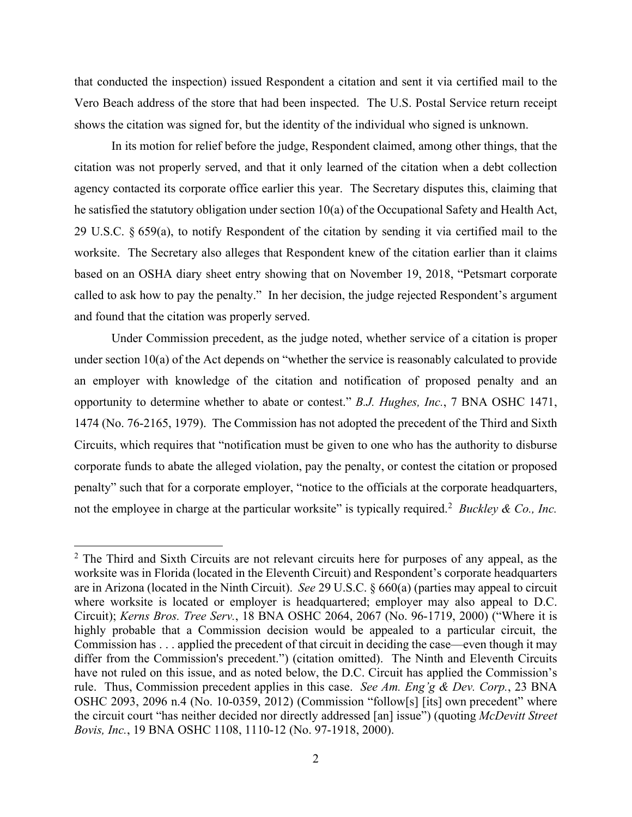that conducted the inspection) issued Respondent a citation and sent it via certified mail to the Vero Beach address of the store that had been inspected. The U.S. Postal Service return receipt shows the citation was signed for, but the identity of the individual who signed is unknown.

In its motion for relief before the judge, Respondent claimed, among other things, that the citation was not properly served, and that it only learned of the citation when a debt collection agency contacted its corporate office earlier this year. The Secretary disputes this, claiming that he satisfied the statutory obligation under section 10(a) of the Occupational Safety and Health Act, 29 U.S.C. § 659(a), to notify Respondent of the citation by sending it via certified mail to the worksite. The Secretary also alleges that Respondent knew of the citation earlier than it claims based on an OSHA diary sheet entry showing that on November 19, 2018, "Petsmart corporate called to ask how to pay the penalty." In her decision, the judge rejected Respondent's argument and found that the citation was properly served.

Under Commission precedent, as the judge noted, whether service of a citation is proper under section 10(a) of the Act depends on "whether the service is reasonably calculated to provide an employer with knowledge of the citation and notification of proposed penalty and an opportunity to determine whether to abate or contest." *B.J. Hughes, Inc.*, 7 BNA OSHC 1471, 1474 (No. 76-2165, 1979). The Commission has not adopted the precedent of the Third and Sixth Circuits, which requires that "notification must be given to one who has the authority to disburse corporate funds to abate the alleged violation, pay the penalty, or contest the citation or proposed penalty" such that for a corporate employer, "notice to the officials at the corporate headquarters, not the employee in charge at the particular worksite" is typically required.<sup>[2](#page-1-0)</sup> Buckley & Co., Inc.

<span id="page-1-0"></span> $2$  The Third and Sixth Circuits are not relevant circuits here for purposes of any appeal, as the worksite was in Florida (located in the Eleventh Circuit) and Respondent's corporate headquarters are in Arizona (located in the Ninth Circuit). *See* [29 U.S.C. § 660\(a\)](https://1.next.westlaw.com/Link/Document/FullText?findType=L&pubNum=1000546&cite=29USCAS660&originatingDoc=I9f5ede35d7e811eaaf3cedf8c55e6c34&refType=RB&originationContext=document&transitionType=DocumentItem&contextData=(sc.Search)#co_pp_8b3b0000958a4) (parties may appeal to circuit where worksite is located or employer is headquartered; employer may also appeal to D.C. Circuit); *Kerns Bros. Tree Serv.*[, 18 BNA OSHC 2064, 2067 \(No. 96-1719,](https://1.next.westlaw.com/Link/Document/FullText?findType=Y&serNum=2000367515&pubNum=0003227&originatingDoc=I9f5ede35d7e811eaaf3cedf8c55e6c34&refType=CA&fi=co_pp_sp_3227_2067&originationContext=document&transitionType=DocumentItem&contextData=(sc.Search)#co_pp_sp_3227_2067) 2000) ("Where it is highly probable that a Commission decision would be appealed to a particular circuit, the Commission has . . . applied the precedent of that circuit in deciding the case—even though it may differ from the Commission's precedent.") (citation omitted). The Ninth and Eleventh Circuits have not ruled on this issue, and as noted below, the D.C. Circuit has applied the Commission's rule. Thus, Commission precedent applies in this case. *See [Am. Eng'g & Dev. Corp.](https://1.next.westlaw.com/Link/Document/FullText?findType=Y&serNum=2028568663&pubNum=0003227&originatingDoc=I9f5ede35d7e811eaaf3cedf8c55e6c34&refType=CA&fi=co_pp_sp_3227_2096&originationContext=document&transitionType=DocumentItem&contextData=(sc.Search)#co_pp_sp_3227_2096)*, 23 BNA [OSHC 2093, 2096 n.4 \(No. 10-0359,](https://1.next.westlaw.com/Link/Document/FullText?findType=Y&serNum=2028568663&pubNum=0003227&originatingDoc=I9f5ede35d7e811eaaf3cedf8c55e6c34&refType=CA&fi=co_pp_sp_3227_2096&originationContext=document&transitionType=DocumentItem&contextData=(sc.Search)#co_pp_sp_3227_2096) 2012) (Commission "follow[s] [its] own precedent" where the circuit court "has neither decided nor directly addressed [an] issue") (quoting *[McDevitt Street](https://1.next.westlaw.com/Link/Document/FullText?findType=Y&serNum=2012648418&pubNum=0003227&originatingDoc=I9f5ede35d7e811eaaf3cedf8c55e6c34&refType=CA&fi=co_pp_sp_3227_1110&originationContext=document&transitionType=DocumentItem&contextData=(sc.Search)#co_pp_sp_3227_1110)  Bovis, Inc.*[, 19 BNA OSHC 1108, 1110-12 \(No. 97-1918,](https://1.next.westlaw.com/Link/Document/FullText?findType=Y&serNum=2012648418&pubNum=0003227&originatingDoc=I9f5ede35d7e811eaaf3cedf8c55e6c34&refType=CA&fi=co_pp_sp_3227_1110&originationContext=document&transitionType=DocumentItem&contextData=(sc.Search)#co_pp_sp_3227_1110) 2000).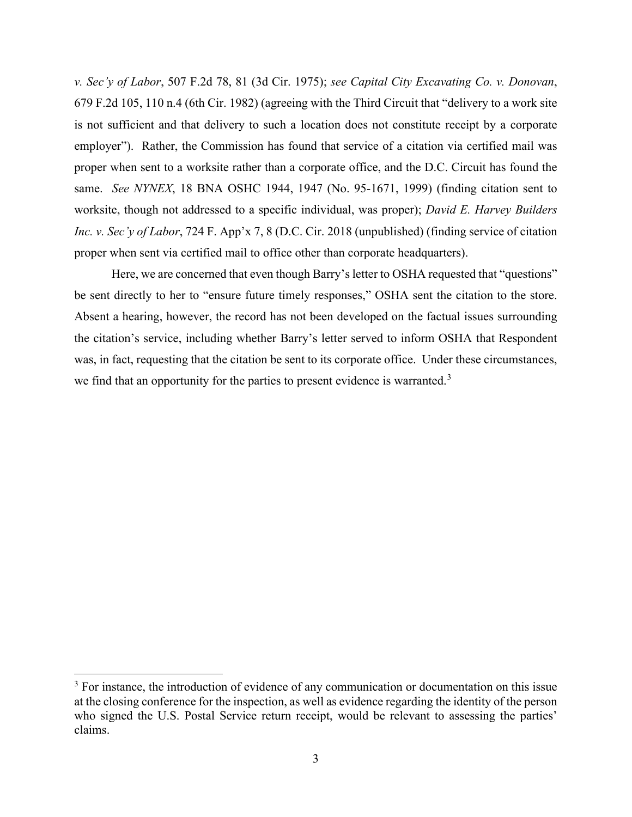*v. Sec'y of Labor*, 507 F.2d 78, 81 (3d Cir. 1975); *see Capital City Excavating Co. v. Donovan*, 679 F.2d 105, 110 n.4 (6th Cir. 1982) (agreeing with the Third Circuit that "delivery to a work site is not sufficient and that delivery to such a location does not constitute receipt by a corporate employer"). Rather, the Commission has found that service of a citation via certified mail was proper when sent to a worksite rather than a corporate office, and the D.C. Circuit has found the same. *See NYNEX*, 18 BNA OSHC 1944, 1947 (No. 95-1671, 1999) (finding citation sent to worksite, though not addressed to a specific individual, was proper); *David E. Harvey Builders Inc. v. Sec'y of Labor*, 724 F. App'x 7, 8 (D.C. Cir. 2018 (unpublished) (finding service of citation proper when sent via certified mail to office other than corporate headquarters).

Here, we are concerned that even though Barry's letter to OSHA requested that "questions" be sent directly to her to "ensure future timely responses," OSHA sent the citation to the store. Absent a hearing, however, the record has not been developed on the factual issues surrounding the citation's service, including whether Barry's letter served to inform OSHA that Respondent was, in fact, requesting that the citation be sent to its corporate office. Under these circumstances, we find that an opportunity for the parties to present evidence is warranted.<sup>[3](#page-2-0)</sup>

<span id="page-2-0"></span> $3$  For instance, the introduction of evidence of any communication or documentation on this issue at the closing conference for the inspection, as well as evidence regarding the identity of the person who signed the U.S. Postal Service return receipt, would be relevant to assessing the parties' claims.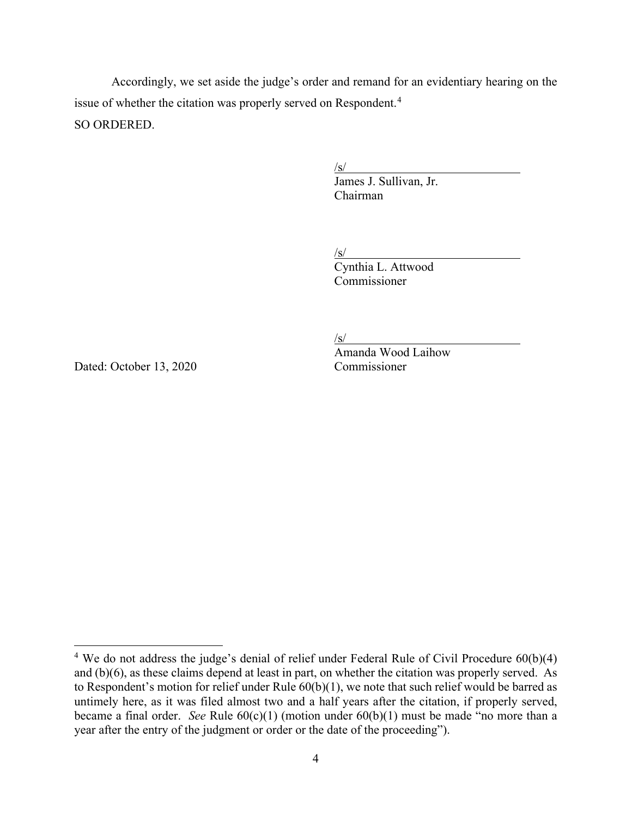Accordingly, we set aside the judge's order and remand for an evidentiary hearing on the issue of whether the citation was properly served on Respondent.<sup>[4](#page-3-0)</sup> SO ORDERED.

/s/

 James J. Sullivan, Jr. Chairman

 $\sqrt{s/2}$ 

Cynthia L. Attwood Commissioner

/s/

Amanda Wood Laihow Dated: October 13, 2020 Commissioner

<span id="page-3-0"></span><sup>&</sup>lt;sup>4</sup> We do not address the judge's denial of relief under Federal Rule of Civil Procedure 60(b)(4) and (b)(6), as these claims depend at least in part, on whether the citation was properly served. As to Respondent's motion for relief under Rule 60(b)(1), we note that such relief would be barred as untimely here, as it was filed almost two and a half years after the citation, if properly served, became a final order. *See* Rule 60(c)(1) (motion under 60(b)(1) must be made "no more than a year after the entry of the judgment or order or the date of the proceeding").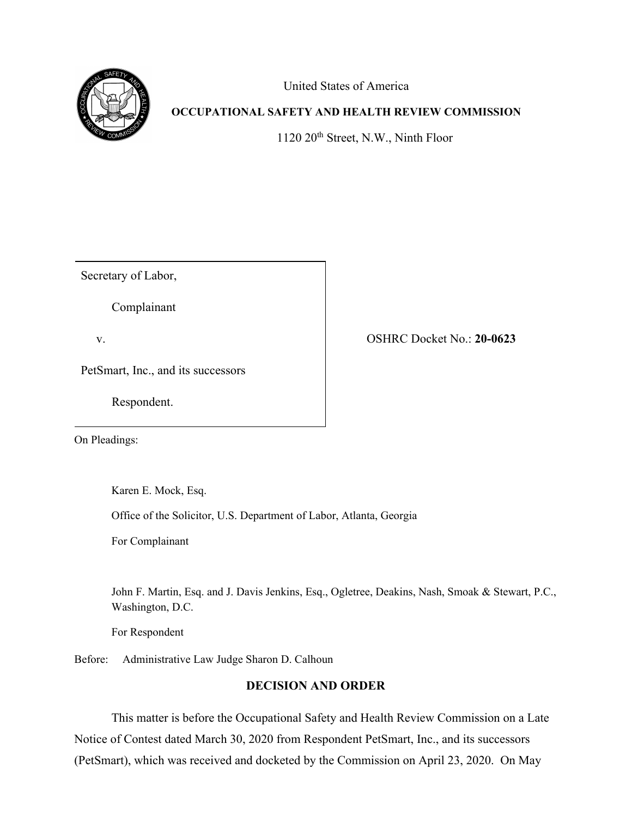

United States of America

# **OCCUPATIONAL SAFETY AND HEALTH REVIEW COMMISSION**

1120 20<sup>th</sup> Street, N.W., Ninth Floor

Secretary of Labor,

Complainant

v. OSHRC Docket No.: **20-0623**

PetSmart, Inc., and its successors

Respondent.

On Pleadings:

Karen E. Mock, Esq.

Office of the Solicitor, U.S. Department of Labor, Atlanta, Georgia

For Complainant

John F. Martin, Esq. and J. Davis Jenkins, Esq., Ogletree, Deakins, Nash, Smoak & Stewart, P.C., Washington, D.C.

For Respondent

Before: Administrative Law Judge Sharon D. Calhoun

## **DECISION AND ORDER**

This matter is before the Occupational Safety and Health Review Commission on a Late Notice of Contest dated March 30, 2020 from Respondent PetSmart, Inc., and its successors (PetSmart), which was received and docketed by the Commission on April 23, 2020. On May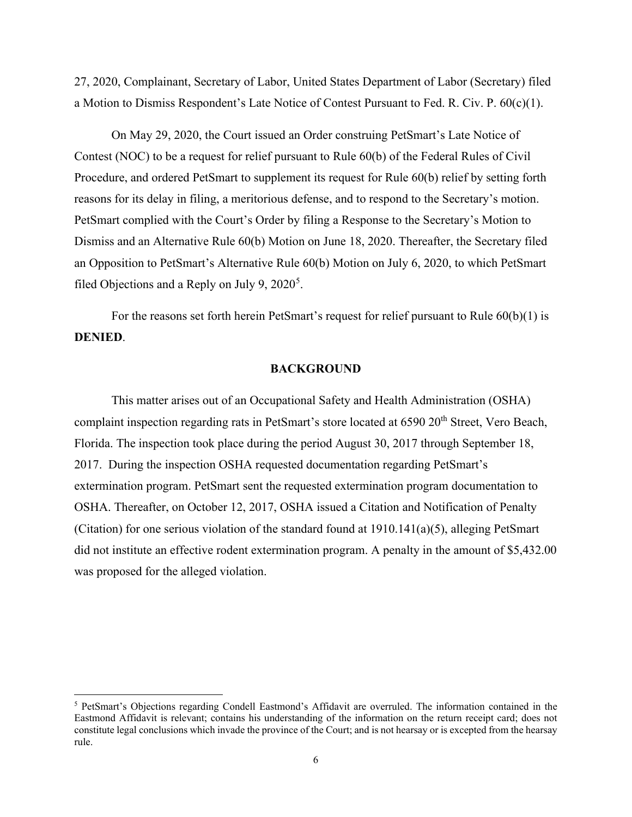27, 2020, Complainant, Secretary of Labor, United States Department of Labor (Secretary) filed a Motion to Dismiss Respondent's Late Notice of Contest Pursuant to Fed. R. Civ. P.  $60(c)(1)$ .

On May 29, 2020, the Court issued an Order construing PetSmart's Late Notice of Contest (NOC) to be a request for relief pursuant to Rule 60(b) of the Federal Rules of Civil Procedure, and ordered PetSmart to supplement its request for Rule 60(b) relief by setting forth reasons for its delay in filing, a meritorious defense, and to respond to the Secretary's motion. PetSmart complied with the Court's Order by filing a Response to the Secretary's Motion to Dismiss and an Alternative Rule 60(b) Motion on June 18, 2020. Thereafter, the Secretary filed an Opposition to PetSmart's Alternative Rule 60(b) Motion on July 6, 2020, to which PetSmart filed Objections and a Reply on July 9,  $2020^5$  $2020^5$ .

For the reasons set forth herein PetSmart's request for relief pursuant to Rule  $60(b)(1)$  is **DENIED**.

#### **BACKGROUND**

This matter arises out of an Occupational Safety and Health Administration (OSHA) complaint inspection regarding rats in PetSmart's store located at 6590 20<sup>th</sup> Street, Vero Beach, Florida. The inspection took place during the period August 30, 2017 through September 18, 2017. During the inspection OSHA requested documentation regarding PetSmart's extermination program. PetSmart sent the requested extermination program documentation to OSHA. Thereafter, on October 12, 2017, OSHA issued a Citation and Notification of Penalty (Citation) for one serious violation of the standard found at  $1910.141(a)(5)$ , alleging PetSmart did not institute an effective rodent extermination program. A penalty in the amount of \$5,432.00 was proposed for the alleged violation.

<span id="page-5-0"></span><sup>5</sup> PetSmart's Objections regarding Condell Eastmond's Affidavit are overruled. The information contained in the Eastmond Affidavit is relevant; contains his understanding of the information on the return receipt card; does not constitute legal conclusions which invade the province of the Court; and is not hearsay or is excepted from the hearsay rule.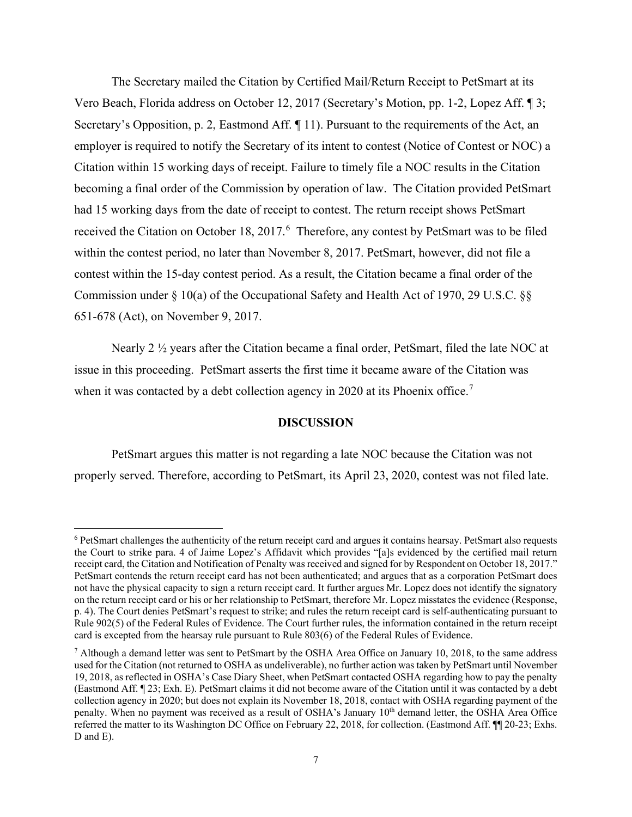The Secretary mailed the Citation by Certified Mail/Return Receipt to PetSmart at its Vero Beach, Florida address on October 12, 2017 (Secretary's Motion, pp. 1-2, Lopez Aff. ¶ 3; Secretary's Opposition, p. 2, Eastmond Aff. ¶ 11). Pursuant to the requirements of the Act, an employer is required to notify the Secretary of its intent to contest (Notice of Contest or NOC) a Citation within 15 working days of receipt. Failure to timely file a NOC results in the Citation becoming a final order of the Commission by operation of law. The Citation provided PetSmart had 15 working days from the date of receipt to contest. The return receipt shows PetSmart received the Citation on October 18, 2017.<sup>[6](#page-6-0)</sup> Therefore, any contest by PetSmart was to be filed within the contest period, no later than November 8, 2017. PetSmart, however, did not file a contest within the 15-day contest period. As a result, the Citation became a final order of the Commission under § 10(a) of the Occupational Safety and Health Act of 1970, 29 U.S.C. §§ 651-678 (Act), on November 9, 2017.

Nearly 2 ½ years after the Citation became a final order, PetSmart, filed the late NOC at issue in this proceeding. PetSmart asserts the first time it became aware of the Citation was when it was contacted by a debt collection agency in 2020 at its Phoenix office.<sup>[7](#page-6-1)</sup>

#### **DISCUSSION**

PetSmart argues this matter is not regarding a late NOC because the Citation was not properly served. Therefore, according to PetSmart, its April 23, 2020, contest was not filed late.

<span id="page-6-0"></span><sup>6</sup> PetSmart challenges the authenticity of the return receipt card and argues it contains hearsay. PetSmart also requests the Court to strike para. 4 of Jaime Lopez's Affidavit which provides "[a]s evidenced by the certified mail return receipt card, the Citation and Notification of Penalty was received and signed for by Respondent on October 18, 2017." PetSmart contends the return receipt card has not been authenticated; and argues that as a corporation PetSmart does not have the physical capacity to sign a return receipt card. It further argues Mr. Lopez does not identify the signatory on the return receipt card or his or her relationship to PetSmart, therefore Mr. Lopez misstates the evidence (Response, p. 4). The Court denies PetSmart's request to strike; and rules the return receipt card is self-authenticating pursuant to Rule 902(5) of the Federal Rules of Evidence. The Court further rules, the information contained in the return receipt card is excepted from the hearsay rule pursuant to Rule 803(6) of the Federal Rules of Evidence.

<span id="page-6-1"></span><sup>7</sup> Although a demand letter was sent to PetSmart by the OSHA Area Office on January 10, 2018, to the same address used for the Citation (not returned to OSHA as undeliverable), no further action was taken by PetSmart until November 19, 2018, as reflected in OSHA's Case Diary Sheet, when PetSmart contacted OSHA regarding how to pay the penalty (Eastmond Aff. ¶ 23; Exh. E). PetSmart claims it did not become aware of the Citation until it was contacted by a debt collection agency in 2020; but does not explain its November 18, 2018, contact with OSHA regarding payment of the penalty. When no payment was received as a result of OSHA's January 10<sup>th</sup> demand letter, the OSHA Area Office referred the matter to its Washington DC Office on February 22, 2018, for collection. (Eastmond Aff. ¶¶ 20-23; Exhs. D and E).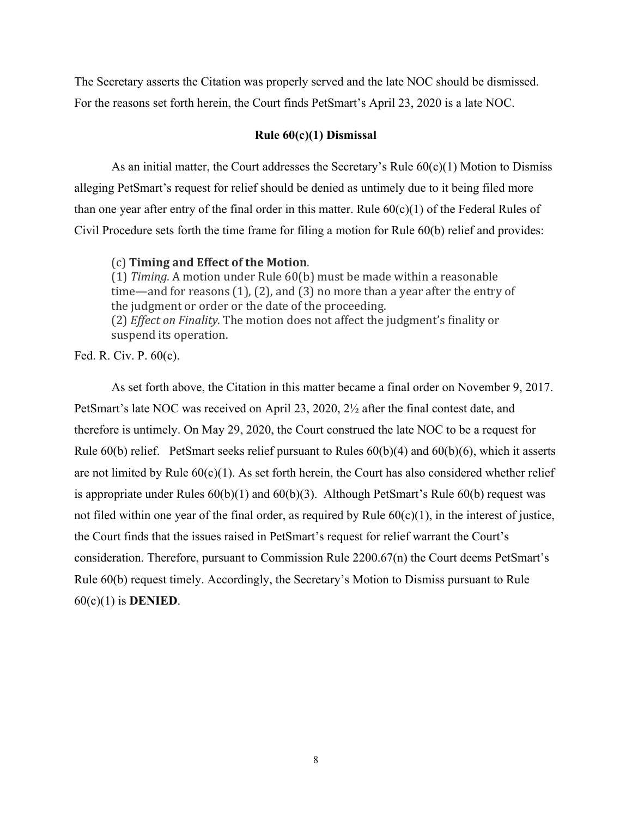The Secretary asserts the Citation was properly served and the late NOC should be dismissed. For the reasons set forth herein, the Court finds PetSmart's April 23, 2020 is a late NOC.

### **Rule 60(c)(1) Dismissal**

As an initial matter, the Court addresses the Secretary's Rule  $60(c)(1)$  Motion to Dismiss alleging PetSmart's request for relief should be denied as untimely due to it being filed more than one year after entry of the final order in this matter. Rule 60(c)(1) of the Federal Rules of Civil Procedure sets forth the time frame for filing a motion for Rule 60(b) relief and provides:

#### (c) **Timing and Effect of the Motion**.

(1) *Timing.* A motion under Rule 60(b) must be made within a reasonable time—and for reasons (1), (2), and (3) no more than a year after the entry of the judgment or order or the date of the proceeding. (2) *Effect on Finality.* The motion does not affect the judgment's finality or suspend its operation.

Fed. R. Civ. P. 60(c).

As set forth above, the Citation in this matter became a final order on November 9, 2017. PetSmart's late NOC was received on April 23, 2020, 2½ after the final contest date, and therefore is untimely. On May 29, 2020, the Court construed the late NOC to be a request for Rule 60(b) relief. PetSmart seeks relief pursuant to Rules 60(b)(4) and 60(b)(6), which it asserts are not limited by Rule  $60(c)(1)$ . As set forth herein, the Court has also considered whether relief is appropriate under Rules  $60(b)(1)$  and  $60(b)(3)$ . Although PetSmart's Rule  $60(b)$  request was not filed within one year of the final order, as required by Rule  $60(c)(1)$ , in the interest of justice, the Court finds that the issues raised in PetSmart's request for relief warrant the Court's consideration. Therefore, pursuant to Commission Rule 2200.67(n) the Court deems PetSmart's Rule 60(b) request timely. Accordingly, the Secretary's Motion to Dismiss pursuant to Rule 60(c)(1) is **DENIED**.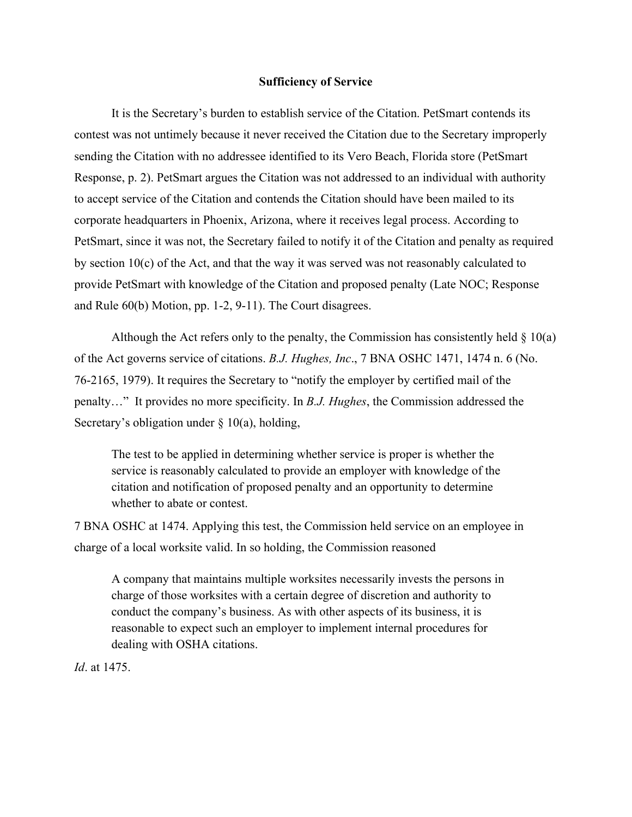#### **Sufficiency of Service**

It is the Secretary's burden to establish service of the Citation. PetSmart contends its contest was not untimely because it never received the Citation due to the Secretary improperly sending the Citation with no addressee identified to its Vero Beach, Florida store (PetSmart Response, p. 2). PetSmart argues the Citation was not addressed to an individual with authority to accept service of the Citation and contends the Citation should have been mailed to its corporate headquarters in Phoenix, Arizona, where it receives legal process. According to PetSmart, since it was not, the Secretary failed to notify it of the Citation and penalty as required by section 10(c) of the Act, and that the way it was served was not reasonably calculated to provide PetSmart with knowledge of the Citation and proposed penalty (Late NOC; Response and Rule 60(b) Motion, pp. 1-2, 9-11). The Court disagrees.

Although the Act refers only to the penalty, the Commission has consistently held  $\S 10(a)$ of the Act governs service of citations. *B.J. Hughes, Inc*., 7 BNA OSHC 1471, 1474 n. 6 (No. 76-2165, 1979). It requires the Secretary to "notify the employer by certified mail of the penalty…" It provides no more specificity. In *B.J. Hughes*, the Commission addressed the Secretary's obligation under  $\S$  10(a), holding,

The test to be applied in determining whether service is proper is whether the service is reasonably calculated to provide an employer with knowledge of the citation and notification of proposed penalty and an opportunity to determine whether to abate or contest.

7 BNA OSHC at 1474. Applying this test, the Commission held service on an employee in charge of a local worksite valid. In so holding, the Commission reasoned

A company that maintains multiple worksites necessarily invests the persons in charge of those worksites with a certain degree of discretion and authority to conduct the company's business. As with other aspects of its business, it is reasonable to expect such an employer to implement internal procedures for dealing with OSHA citations.

*Id*. at 1475.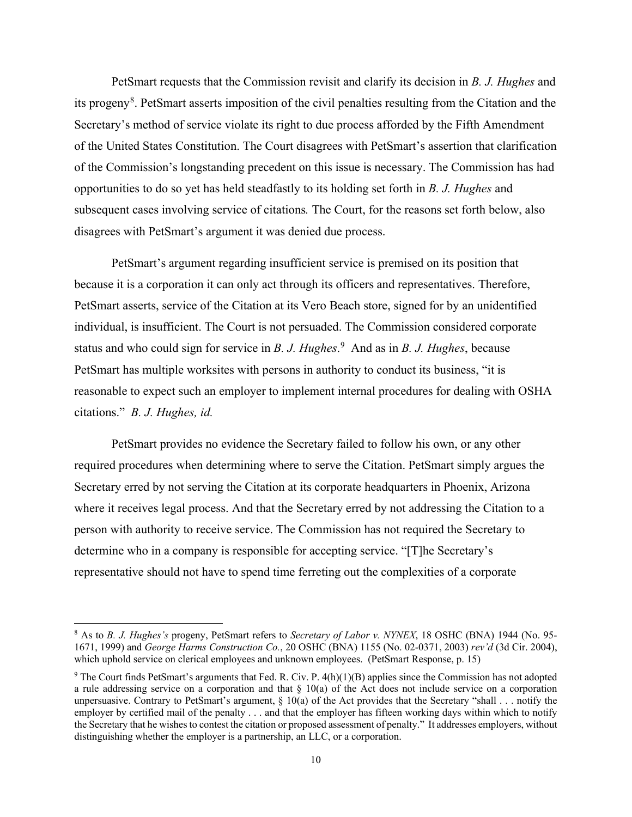PetSmart requests that the Commission revisit and clarify its decision in *B. J. Hughes* and its progeny<sup>[8](#page-9-0)</sup>. PetSmart asserts imposition of the civil penalties resulting from the Citation and the Secretary's method of service violate its right to due process afforded by the Fifth Amendment of the United States Constitution. The Court disagrees with PetSmart's assertion that clarification of the Commission's longstanding precedent on this issue is necessary. The Commission has had opportunities to do so yet has held steadfastly to its holding set forth in *B. J. Hughes* and subsequent cases involving service of citations*.* The Court, for the reasons set forth below, also disagrees with PetSmart's argument it was denied due process.

PetSmart's argument regarding insufficient service is premised on its position that because it is a corporation it can only act through its officers and representatives. Therefore, PetSmart asserts, service of the Citation at its Vero Beach store, signed for by an unidentified individual, is insufficient. The Court is not persuaded. The Commission considered corporate status and who could sign for service in *B. J. Hughes*. [9](#page-9-1) And as in *B. J. Hughes*, because PetSmart has multiple worksites with persons in authority to conduct its business, "it is reasonable to expect such an employer to implement internal procedures for dealing with OSHA citations." *B. J. Hughes, id.*

PetSmart provides no evidence the Secretary failed to follow his own, or any other required procedures when determining where to serve the Citation. PetSmart simply argues the Secretary erred by not serving the Citation at its corporate headquarters in Phoenix, Arizona where it receives legal process. And that the Secretary erred by not addressing the Citation to a person with authority to receive service. The Commission has not required the Secretary to determine who in a company is responsible for accepting service. "[T]he Secretary's representative should not have to spend time ferreting out the complexities of a corporate

<span id="page-9-0"></span><sup>8</sup> As to *B. J. Hughes's* progeny, PetSmart refers to *Secretary of Labor v. NYNEX*, 18 OSHC (BNA) 1944 (No. 95- 1671, 1999) and *George Harms Construction Co.*, 20 OSHC (BNA) 1155 (No. 02-0371, 2003) *rev'd* (3d Cir. 2004), which uphold service on clerical employees and unknown employees. (PetSmart Response, p. 15)

<span id="page-9-1"></span> $9$  The Court finds PetSmart's arguments that Fed. R. Civ. P. 4(h)(1)(B) applies since the Commission has not adopted a rule addressing service on a corporation and that  $\S$  10(a) of the Act does not include service on a corporation unpersuasive. Contrary to PetSmart's argument,  $\S$  10(a) of the Act provides that the Secretary "shall . . . notify the employer by certified mail of the penalty . . . and that the employer has fifteen working days within which to notify the Secretary that he wishes to contest the citation or proposed assessment of penalty." It addresses employers, without distinguishing whether the employer is a partnership, an LLC, or a corporation.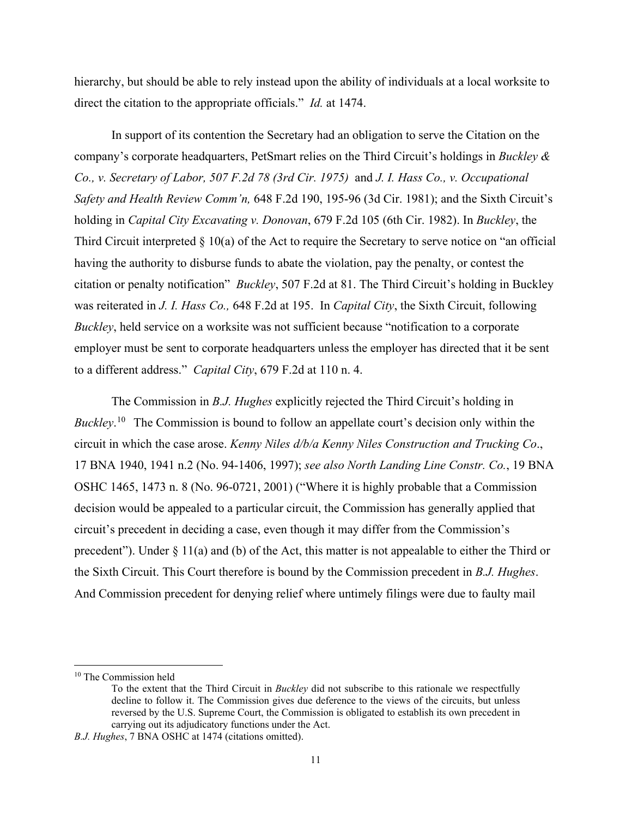hierarchy, but should be able to rely instead upon the ability of individuals at a local worksite to direct the citation to the appropriate officials." *Id.* at 1474.

In support of its contention the Secretary had an obligation to serve the Citation on the company's corporate headquarters, PetSmart relies on the Third Circuit's holdings in *Buckley & Co., v. Secretary of Labor, 507 F.2d 78 (3rd Cir. 1975)* and *J. I. Hass Co., v. Occupational Safety and Health Review Comm'n,* 648 F.2d 190, 195-96 (3d Cir. 1981); and the Sixth Circuit's holding in *Capital City Excavating v. Donovan*, 679 F.2d 105 (6th Cir. 1982). In *Buckley*, the Third Circuit interpreted  $\S 10(a)$  of the Act to require the Secretary to serve notice on "an official having the authority to disburse funds to abate the violation, pay the penalty, or contest the citation or penalty notification" *Buckley*, 507 F.2d at 81. The Third Circuit's holding in Buckley was reiterated in *J. I. Hass Co.,* 648 F.2d at 195. In *Capital City*, the Sixth Circuit, following *Buckley*, held service on a worksite was not sufficient because "notification to a corporate employer must be sent to corporate headquarters unless the employer has directed that it be sent to a different address." *Capital City*, 679 F.2d at 110 n. 4.

The Commission in *B.J. Hughes* explicitly rejected the Third Circuit's holding in *Buckley*. [10](#page-10-0) The Commission is bound to follow an appellate court's decision only within the circuit in which the case arose. *Kenny Niles d/b/a Kenny Niles Construction and Trucking Co*., 17 BNA 1940, 1941 n.2 (No. 94-1406, 1997); *see also [North Landing Line Constr. Co.](http://www.westlaw.com/Link/Document/FullText?findType=Y&serNum=2001930654&pubNum=0003227&originatingDoc=Iec901b43fa3811d9bf60c1d57ebc853e&refType=CA&fi=co_pp_sp_3227_1473&originationContext=document&vr=3.0&rs=cblt1.0&transitionType=DocumentItem&contextData=(sc.Search)#co_pp_sp_3227_1473)*, 19 BNA [OSHC 1465, 1473 n. 8](http://www.westlaw.com/Link/Document/FullText?findType=Y&serNum=2001930654&pubNum=0003227&originatingDoc=Iec901b43fa3811d9bf60c1d57ebc853e&refType=CA&fi=co_pp_sp_3227_1473&originationContext=document&vr=3.0&rs=cblt1.0&transitionType=DocumentItem&contextData=(sc.Search)#co_pp_sp_3227_1473) (No. 96-0721, 2001) ("Where it is highly probable that a Commission decision would be appealed to a particular circuit, the Commission has generally applied that circuit's precedent in deciding a case, even though it may differ from the Commission's precedent"). Under § 11(a) and (b) of the Act, this matter is not appealable to either the Third or the Sixth Circuit. This Court therefore is bound by the Commission precedent in *B.J. Hughes*. And Commission precedent for denying relief where untimely filings were due to faulty mail

<span id="page-10-0"></span><sup>&</sup>lt;sup>10</sup> The Commission held

To the extent that the Third Circuit in *Buckley* did not subscribe to this rationale we respectfully decline to follow it. The Commission gives due deference to the views of the circuits, but unless reversed by the U.S. Supreme Court, the Commission is obligated to establish its own precedent in carrying out its adjudicatory functions under the Act.

*B.J. Hughes*, 7 BNA OSHC at 1474 (citations omitted).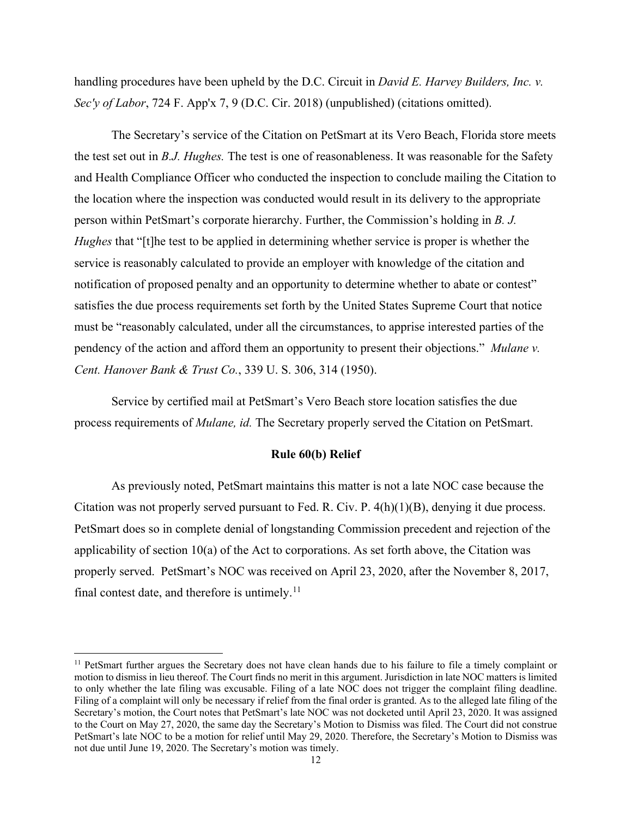handling procedures have been upheld by the D.C. Circuit in *David E. Harvey Builders, Inc. v. Sec'y of Labor*, 724 F. App'x 7, 9 (D.C. Cir. 2018) (unpublished) (citations omitted).

 The Secretary's service of the Citation on PetSmart at its Vero Beach, Florida store meets the test set out in *B.J. Hughes.* The test is one of reasonableness. It was reasonable for the Safety and Health Compliance Officer who conducted the inspection to conclude mailing the Citation to the location where the inspection was conducted would result in its delivery to the appropriate person within PetSmart's corporate hierarchy. Further, the Commission's holding in *B. J. Hughes* that "[t]he test to be applied in determining whether service is proper is whether the service is reasonably calculated to provide an employer with knowledge of the citation and notification of proposed penalty and an opportunity to determine whether to abate or contest" satisfies the due process requirements set forth by the United States Supreme Court that notice must be "reasonably calculated, under all the circumstances, to apprise interested parties of the pendency of the action and afford them an opportunity to present their objections." *Mulane v. Cent. Hanover Bank & Trust Co.*, 339 U. S. 306, 314 (1950).

Service by certified mail at PetSmart's Vero Beach store location satisfies the due process requirements of *Mulane, id.* The Secretary properly served the Citation on PetSmart.

#### **Rule 60(b) Relief**

As previously noted, PetSmart maintains this matter is not a late NOC case because the Citation was not properly served pursuant to Fed. R. Civ. P. 4(h)(1)(B), denying it due process. PetSmart does so in complete denial of longstanding Commission precedent and rejection of the applicability of section 10(a) of the Act to corporations. As set forth above, the Citation was properly served. PetSmart's NOC was received on April 23, 2020, after the November 8, 2017, final contest date, and therefore is untimely.<sup>11</sup>

<span id="page-11-0"></span><sup>&</sup>lt;sup>11</sup> PetSmart further argues the Secretary does not have clean hands due to his failure to file a timely complaint or motion to dismiss in lieu thereof. The Court finds no merit in this argument. Jurisdiction in late NOC matters is limited to only whether the late filing was excusable. Filing of a late NOC does not trigger the complaint filing deadline. Filing of a complaint will only be necessary if relief from the final order is granted. As to the alleged late filing of the Secretary's motion, the Court notes that PetSmart's late NOC was not docketed until April 23, 2020. It was assigned to the Court on May 27, 2020, the same day the Secretary's Motion to Dismiss was filed. The Court did not construe PetSmart's late NOC to be a motion for relief until May 29, 2020. Therefore, the Secretary's Motion to Dismiss was not due until June 19, 2020. The Secretary's motion was timely.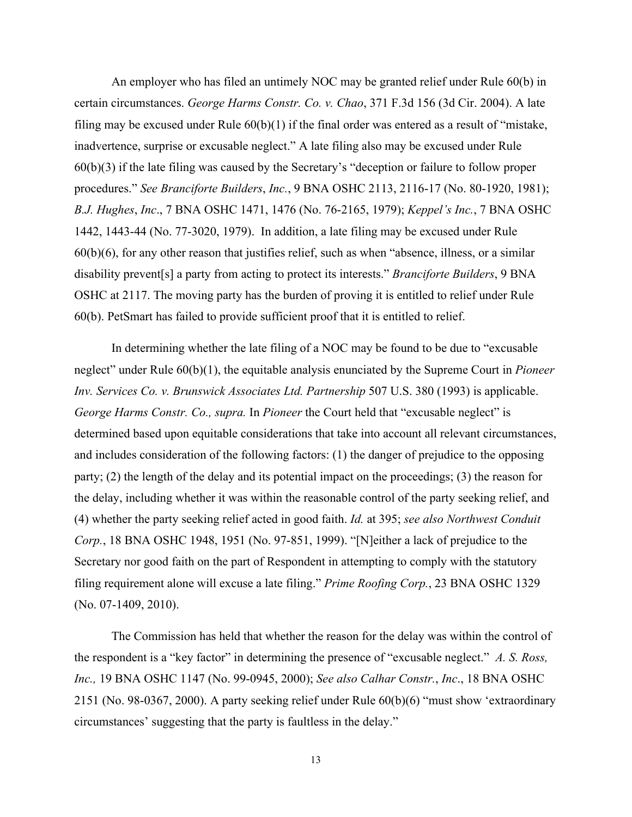An employer who has filed an untimely NOC may be granted relief under Rule 60(b) in certain circumstances. *George Harms Constr. Co. v. Chao*, 371 F.3d 156 (3d Cir. 2004). A late filing may be excused under Rule  $60(b)(1)$  if the final order was entered as a result of "mistake, inadvertence, surprise or excusable neglect." A late filing also may be excused under Rule 60(b)(3) if the late filing was caused by the Secretary's "deception or failure to follow proper procedures." *See Branciforte Builders*, *Inc.*, 9 BNA OSHC 2113, 2116-17 (No. 80-1920, 1981); *B.J. Hughes*, *Inc*., 7 BNA OSHC 1471, 1476 (No. 76-2165, 1979); *Keppel's Inc.*, 7 BNA OSHC 1442, 1443-44 (No. 77-3020, 1979). In addition, a late filing may be excused under Rule 60(b)(6), for any other reason that justifies relief, such as when "absence, illness, or a similar disability prevent[s] a party from acting to protect its interests." *Branciforte Builders*, 9 BNA OSHC at 2117. The moving party has the burden of proving it is entitled to relief under Rule 60(b). PetSmart has failed to provide sufficient proof that it is entitled to relief.

In determining whether the late filing of a NOC may be found to be due to "excusable neglect" under Rule 60(b)(1), the equitable analysis enunciated by the Supreme Court in *Pioneer Inv. Services Co. v. Brunswick Associates Ltd. Partnership* 507 U.S. 380 (1993) is applicable. *[George Harms Constr. Co.,](http://www.westlaw.com/Find/Default.wl?rs=dfa1.0&vr=2.0&DB=506&FindType=Y&ReferencePositionType=S&SerialNum=2004560020&ReferencePosition=163) supra.* In *Pioneer* the Court held that "excusable neglect" is determined based upon equitable considerations that take into account all relevant circumstances, and includes consideration of the following factors: (1) the danger of prejudice to the opposing party; (2) the length of the delay and its potential impact on the proceedings; (3) the reason for the delay, including whether it was within the reasonable control of the party seeking relief, and (4) whether the party seeking relief acted in good faith. *Id.* [at 395;](http://www.westlaw.com/Find/Default.wl?rs=dfa1.0&vr=2.0&DB=780&FindType=Y&ReferencePositionType=S&SerialNum=1993072396&ReferencePosition=395) *see also [Northwest Conduit](http://www.westlaw.com/Find/Default.wl?rs=dfa1.0&vr=2.0&DB=0003227&FindType=Y&SerialNum=1999284282)  [Corp.](http://www.westlaw.com/Find/Default.wl?rs=dfa1.0&vr=2.0&DB=0003227&FindType=Y&SerialNum=1999284282)*[, 18 BNA OSHC 1948, 1951 \(No. 97-851, 1999\). "](http://www.westlaw.com/Find/Default.wl?rs=dfa1.0&vr=2.0&DB=0003227&FindType=Y&SerialNum=1999284282)[N]either a lack of prejudice to the Secretary nor good faith on the part of Respondent in attempting to comply with the statutory filing requirement alone will excuse a late filing." *[Prime Roofing Corp.](http://www.westlaw.com/Find/Default.wl?rs=dfa1.0&vr=2.0&DB=0003227&FindType=Y&SerialNum=2024060162)*[, 23 BNA OSHC 1329](http://www.westlaw.com/Find/Default.wl?rs=dfa1.0&vr=2.0&DB=0003227&FindType=Y&SerialNum=2024060162)  [\(No. 07-1409, 2010\).](http://www.westlaw.com/Find/Default.wl?rs=dfa1.0&vr=2.0&DB=0003227&FindType=Y&SerialNum=2024060162)

The Commission has held that whether the reason for the delay was within the control of the respondent is a "key factor" in determining the presence of "excusable neglect." *A. S. Ross, Inc.,* 19 BNA OSHC 1147 (No. 99-0945, 2000); *See also Calhar Constr.*, *Inc*., 18 BNA OSHC 2151 (No. 98-0367, 2000). A party seeking relief under Rule 60(b)(6) "must show 'extraordinary circumstances' suggesting that the party is faultless in the delay."

13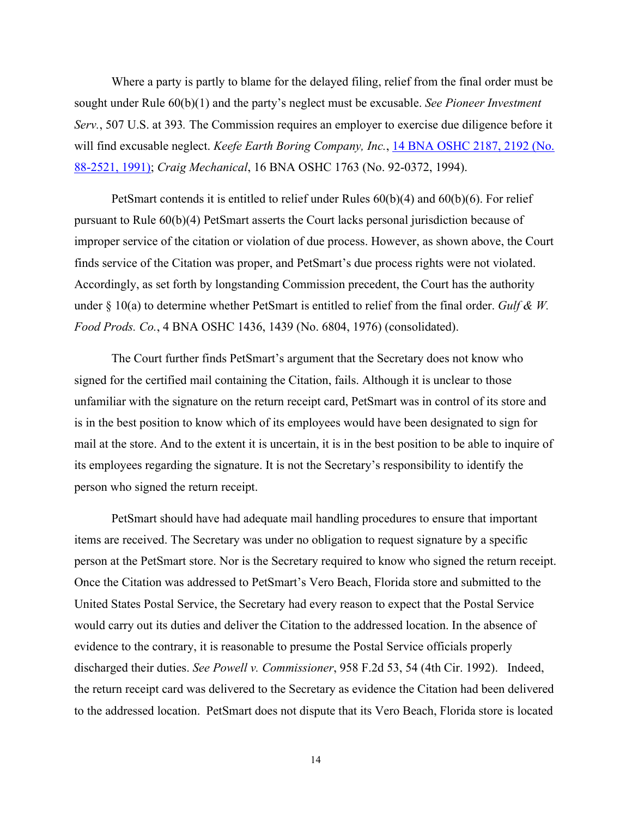Where a party is partly to blame for the delayed filing, relief from the final order must be sought under Rule 60(b)(1) and the party's neglect must be excusable. *See Pioneer Investment Serv.*, 507 U.S. at 393*.* The Commission requires an employer to exercise due diligence before it will find excusable neglect. *Keefe Earth Boring Company, Inc.*, [14 BNA OSHC 2187, 2192 \(No.](http://www.westlaw.com/Find/Default.wl?rs=dfa1.0&vr=2.0&DB=0003227&FindType=Y&SerialNum=1991434415)  [88-2521, 1991\);](http://www.westlaw.com/Find/Default.wl?rs=dfa1.0&vr=2.0&DB=0003227&FindType=Y&SerialNum=1991434415) *Craig Mechanical*, 16 BNA OSHC 1763 (No. 92-0372, 1994).

PetSmart contends it is entitled to relief under Rules 60(b)(4) and 60(b)(6). For relief pursuant to Rule 60(b)(4) PetSmart asserts the Court lacks personal jurisdiction because of improper service of the citation or violation of due process. However, as shown above, the Court finds service of the Citation was proper, and PetSmart's due process rights were not violated. Accordingly, as set forth by longstanding Commission precedent, the Court has the authority under § 10(a) to determine whether PetSmart is entitled to relief from the final order. *Gulf & W. Food Prods. Co.*, 4 BNA OSHC 1436, 1439 (No. 6804, 1976) (consolidated).

The Court further finds PetSmart's argument that the Secretary does not know who signed for the certified mail containing the Citation, fails. Although it is unclear to those unfamiliar with the signature on the return receipt card, PetSmart was in control of its store and is in the best position to know which of its employees would have been designated to sign for mail at the store. And to the extent it is uncertain, it is in the best position to be able to inquire of its employees regarding the signature. It is not the Secretary's responsibility to identify the person who signed the return receipt.

PetSmart should have had adequate mail handling procedures to ensure that important items are received. The Secretary was under no obligation to request signature by a specific person at the PetSmart store. Nor is the Secretary required to know who signed the return receipt. Once the Citation was addressed to PetSmart's Vero Beach, Florida store and submitted to the United States Postal Service, the Secretary had every reason to expect that the Postal Service would carry out its duties and deliver the Citation to the addressed location. In the absence of evidence to the contrary, it is reasonable to presume the Postal Service officials properly discharged their duties. *See Powell v. Commissioner*, 958 F.2d 53, 54 (4th Cir. 1992). Indeed, the return receipt card was delivered to the Secretary as evidence the Citation had been delivered to the addressed location. PetSmart does not dispute that its Vero Beach, Florida store is located

14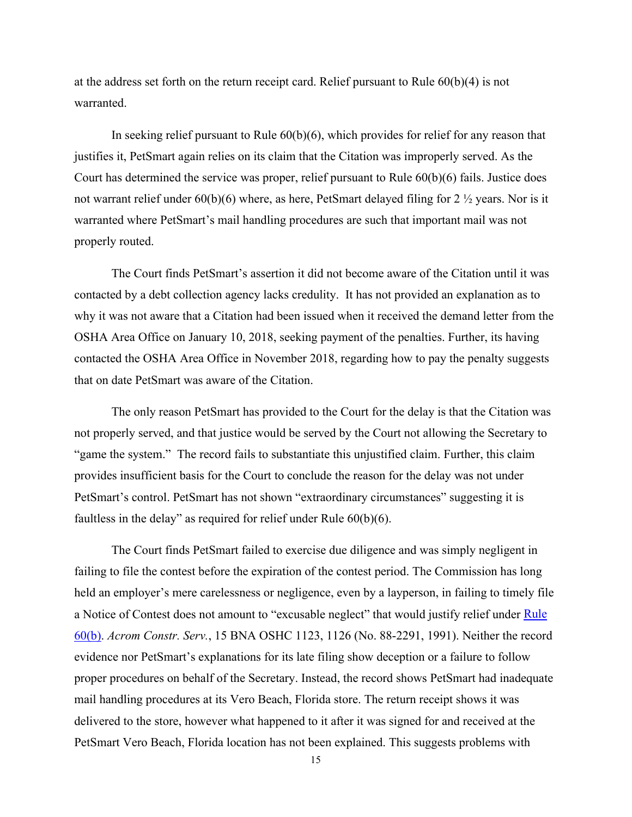at the address set forth on the return receipt card. Relief pursuant to Rule 60(b)(4) is not warranted.

In seeking relief pursuant to Rule 60(b)(6), which provides for relief for any reason that justifies it, PetSmart again relies on its claim that the Citation was improperly served. As the Court has determined the service was proper, relief pursuant to Rule  $60(b)(6)$  fails. Justice does not warrant relief under 60(b)(6) where, as here, PetSmart delayed filing for 2 ½ years. Nor is it warranted where PetSmart's mail handling procedures are such that important mail was not properly routed.

The Court finds PetSmart's assertion it did not become aware of the Citation until it was contacted by a debt collection agency lacks credulity. It has not provided an explanation as to why it was not aware that a Citation had been issued when it received the demand letter from the OSHA Area Office on January 10, 2018, seeking payment of the penalties. Further, its having contacted the OSHA Area Office in November 2018, regarding how to pay the penalty suggests that on date PetSmart was aware of the Citation.

The only reason PetSmart has provided to the Court for the delay is that the Citation was not properly served, and that justice would be served by the Court not allowing the Secretary to "game the system." The record fails to substantiate this unjustified claim. Further, this claim provides insufficient basis for the Court to conclude the reason for the delay was not under PetSmart's control. PetSmart has not shown "extraordinary circumstances" suggesting it is faultless in the delay" as required for relief under Rule 60(b)(6).

The Court finds PetSmart failed to exercise due diligence and was simply negligent in failing to file the contest before the expiration of the contest period. The Commission has long held an employer's mere carelessness or negligence, even by a layperson, in failing to timely file a Notice of Contest does not amount to "excusable neglect" that would justify relief under Rule [60\(b\).](http://www.westlaw.com/Find/Default.wl?rs=dfa1.0&vr=2.0&DB=1004365&DocName=USFRCPR60&FindType=L) *Acrom Constr. Serv.*, 15 BNA OSHC 1123, 1126 (No. 88-2291, 1991). Neither the record evidence nor PetSmart's explanations for its late filing show deception or a failure to follow proper procedures on behalf of the Secretary. Instead, the record shows PetSmart had inadequate mail handling procedures at its Vero Beach, Florida store. The return receipt shows it was delivered to the store, however what happened to it after it was signed for and received at the PetSmart Vero Beach, Florida location has not been explained. This suggests problems with

15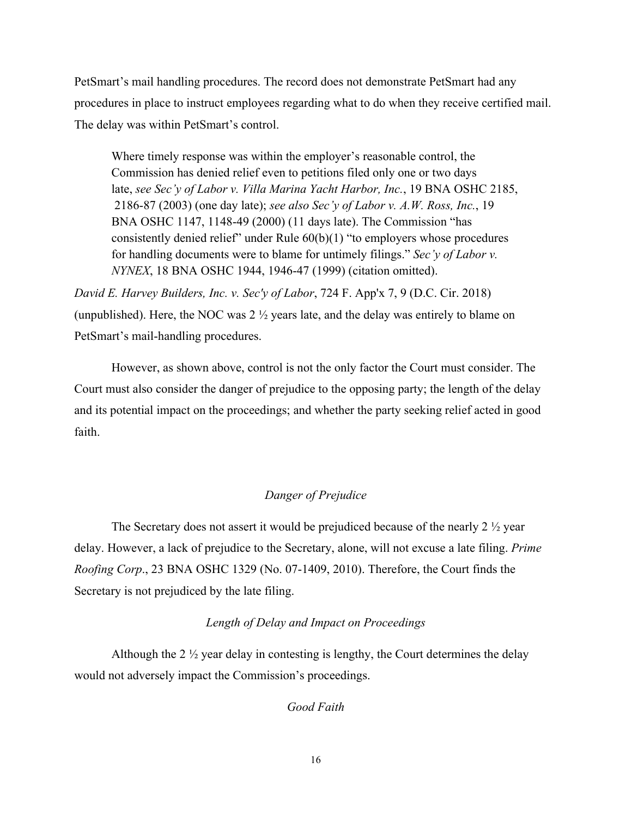PetSmart's mail handling procedures. The record does not demonstrate PetSmart had any procedures in place to instruct employees regarding what to do when they receive certified mail. The delay was within PetSmart's control.

Where timely response was within the employer's reasonable control, the Commission has denied relief even to petitions filed only one or two days late, *see Sec'y of Labor v. Villa Marina Yacht Harbor, Inc.*, 19 BNA OSHC 2185, 2186-87 (2003) (one day late); *see also Sec'y of Labor v. A.W. Ross, Inc.*, 19 BNA OSHC 1147, 1148-49 (2000) (11 days late). The Commission "has consistently denied relief" under Rule  $60(b)(1)$  "to employers whose procedures for handling documents were to blame for untimely filings." *Sec'y of Labor v. NYNEX*, 18 BNA OSHC 1944, 1946-47 (1999) (citation omitted).

*David E. Harvey Builders, Inc. v. Sec'y of Labor*, 724 F. App'x 7, 9 (D.C. Cir. 2018) (unpublished). Here, the NOC was  $2 \frac{1}{2}$  years late, and the delay was entirely to blame on PetSmart's mail-handling procedures.

However, as shown above, control is not the only factor the Court must consider. The Court must also consider the danger of prejudice to the opposing party; the length of the delay and its potential impact on the proceedings; and whether the party seeking relief acted in good faith.

## *Danger of Prejudice*

The Secretary does not assert it would be prejudiced because of the nearly 2 ½ year delay. However, a lack of prejudice to the Secretary, alone, will not excuse a late filing. *Prime Roofing Corp*., 23 BNA OSHC 1329 (No. 07-1409, 2010). Therefore, the Court finds the Secretary is not prejudiced by the late filing.

## *Length of Delay and Impact on Proceedings*

Although the 2  $\frac{1}{2}$  year delay in contesting is lengthy, the Court determines the delay would not adversely impact the Commission's proceedings.

*Good Faith*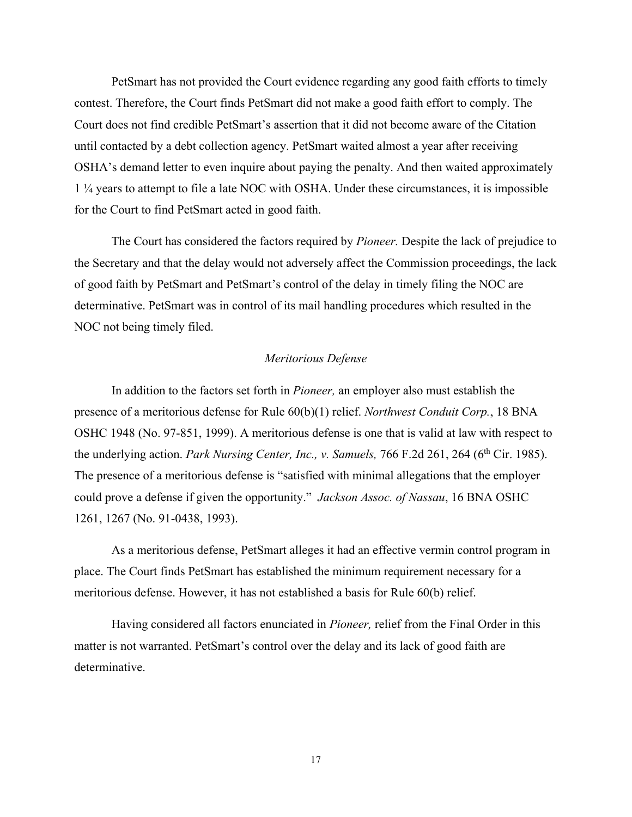PetSmart has not provided the Court evidence regarding any good faith efforts to timely contest. Therefore, the Court finds PetSmart did not make a good faith effort to comply. The Court does not find credible PetSmart's assertion that it did not become aware of the Citation until contacted by a debt collection agency. PetSmart waited almost a year after receiving OSHA's demand letter to even inquire about paying the penalty. And then waited approximately 1 ¼ years to attempt to file a late NOC with OSHA. Under these circumstances, it is impossible for the Court to find PetSmart acted in good faith.

The Court has considered the factors required by *Pioneer.* Despite the lack of prejudice to the Secretary and that the delay would not adversely affect the Commission proceedings, the lack of good faith by PetSmart and PetSmart's control of the delay in timely filing the NOC are determinative. PetSmart was in control of its mail handling procedures which resulted in the NOC not being timely filed.

### *Meritorious Defense*

In addition to the factors set forth in *Pioneer,* an employer also must establish the presence of a meritorious defense for Rule 60(b)(1) relief. *Northwest Conduit Corp.*, 18 BNA OSHC 1948 (No. 97-851, 1999). A meritorious defense is one that is valid at law with respect to the underlying action. *Park Nursing Center, Inc., v. Samuels,* 766 F.2d 261, 264 (6<sup>th</sup> Cir. 1985). The presence of a meritorious defense is "satisfied with minimal allegations that the employer could prove a defense if given the opportunity." *Jackson Assoc. of Nassau*, 16 BNA OSHC 1261, 1267 (No. 91-0438, 1993).

As a meritorious defense, PetSmart alleges it had an effective vermin control program in place. The Court finds PetSmart has established the minimum requirement necessary for a meritorious defense. However, it has not established a basis for Rule 60(b) relief.

Having considered all factors enunciated in *Pioneer,* relief from the Final Order in this matter is not warranted. PetSmart's control over the delay and its lack of good faith are determinative.